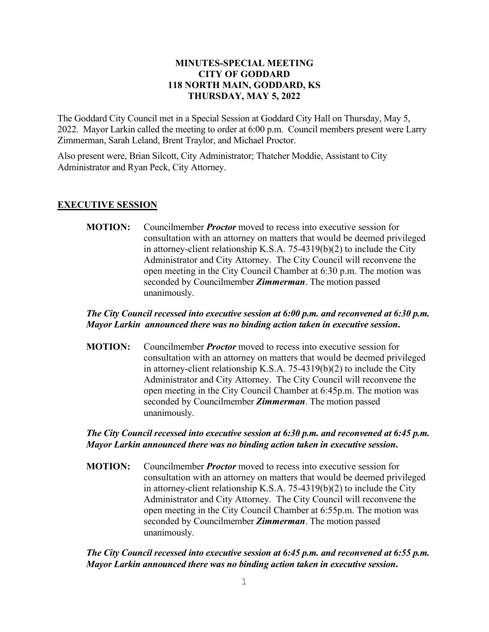#### **MINUTES-SPECIAL MEETING CITY OF GODDARD 118 NORTH MAIN, GODDARD, KS THURSDAY, MAY 5, 2022**

The Goddard City Council met in a Special Session at Goddard City Hall on Thursday, May 5, 2022. Mayor Larkin called the meeting to order at 6:00 p.m. Council members present were Larry Zimmerman, Sarah Leland, Brent Traylor, and Michael Proctor.

Also present were, Brian Silcott, City Administrator; Thatcher Moddie, Assistant to City Administrator and Ryan Peck, City Attorney.

#### **EXECUTIVE SESSION**

**MOTION:** Councilmember *Proctor* moved to recess into executive session for consultation with an attorney on matters that would be deemed privileged in attorney-client relationship K.S.A. 75-4319(b)(2) to include the City Administrator and City Attorney. The City Council will reconvene the open meeting in the City Council Chamber at 6:30 p.m. The motion was seconded by Councilmember *Zimmerman*. The motion passed unanimously.

## *The City Council recessed into executive session at 6:00 p.m. and reconvened at 6:30 p.m. Mayor Larkin announced there was no binding action taken in executive session***.**

**MOTION:** Councilmember *Proctor* moved to recess into executive session for consultation with an attorney on matters that would be deemed privileged in attorney-client relationship K.S.A. 75-4319(b)(2) to include the City Administrator and City Attorney. The City Council will reconvene the open meeting in the City Council Chamber at 6:45p.m. The motion was seconded by Councilmember *Zimmerman*. The motion passed unanimously.

## *The City Council recessed into executive session at 6:30 p.m. and reconvened at 6:45 p.m. Mayor Larkin announced there was no binding action taken in executive session***.**

**MOTION:** Councilmember *Proctor* moved to recess into executive session for consultation with an attorney on matters that would be deemed privileged in attorney-client relationship K.S.A. 75-4319(b)(2) to include the City Administrator and City Attorney. The City Council will reconvene the open meeting in the City Council Chamber at 6:55p.m. The motion was seconded by Councilmember *Zimmerman*. The motion passed unanimously.

## *The City Council recessed into executive session at 6:45 p.m. and reconvened at 6:55 p.m. Mayor Larkin announced there was no binding action taken in executive session***.**